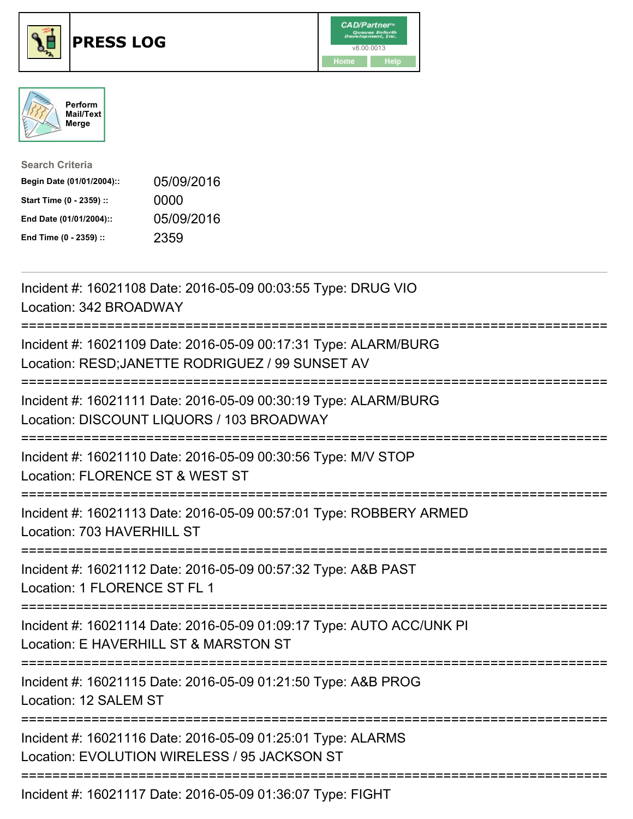

## **PRESS LOG** v8.00.0013





| <b>Search Criteria</b>    |            |
|---------------------------|------------|
| Begin Date (01/01/2004):: | 05/09/2016 |
| Start Time (0 - 2359) ::  | 0000       |
| End Date (01/01/2004)::   | 05/09/2016 |
| End Time (0 - 2359) ::    | 2359       |

Incident #: 16021108 Date: 2016-05-09 00:03:55 Type: DRUG VIO Location: 342 BROADWAY =========================================================================== Incident #: 16021109 Date: 2016-05-09 00:17:31 Type: ALARM/BURG Location: RESD;JANETTE RODRIGUEZ / 99 SUNSET AV =========================================================================== Incident #: 16021111 Date: 2016-05-09 00:30:19 Type: ALARM/BURG Location: DISCOUNT LIQUORS / 103 BROADWAY =========================================================================== Incident #: 16021110 Date: 2016-05-09 00:30:56 Type: M/V STOP Location: FLORENCE ST & WEST ST =========================================================================== Incident #: 16021113 Date: 2016-05-09 00:57:01 Type: ROBBERY ARMED Location: 703 HAVERHILL ST =========================================================================== Incident #: 16021112 Date: 2016-05-09 00:57:32 Type: A&B PAST Location: 1 FLORENCE ST FL 1 =========================================================================== Incident #: 16021114 Date: 2016-05-09 01:09:17 Type: AUTO ACC/UNK PI Location: E HAVERHILL ST & MARSTON ST =========================================================================== Incident #: 16021115 Date: 2016-05-09 01:21:50 Type: A&B PROG Location: 12 SALEM ST =========================================================================== Incident #: 16021116 Date: 2016-05-09 01:25:01 Type: ALARMS Location: EVOLUTION WIRELESS / 95 JACKSON ST ===========================================================================

Incident #: 16021117 Date: 2016-05-09 01:36:07 Type: FIGHT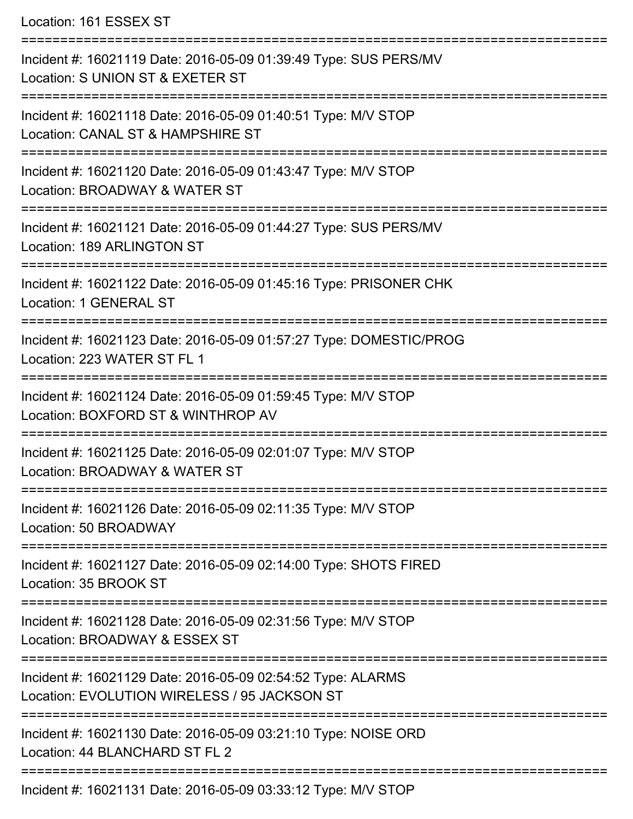Location: 161 ESSEX ST

| Incident #: 16021119 Date: 2016-05-09 01:39:49 Type: SUS PERS/MV<br>Location: S UNION ST & EXETER ST        |
|-------------------------------------------------------------------------------------------------------------|
| Incident #: 16021118 Date: 2016-05-09 01:40:51 Type: M/V STOP<br>Location: CANAL ST & HAMPSHIRE ST          |
| Incident #: 16021120 Date: 2016-05-09 01:43:47 Type: M/V STOP<br>Location: BROADWAY & WATER ST              |
| Incident #: 16021121 Date: 2016-05-09 01:44:27 Type: SUS PERS/MV<br>Location: 189 ARLINGTON ST              |
| Incident #: 16021122 Date: 2016-05-09 01:45:16 Type: PRISONER CHK<br>Location: 1 GENERAL ST                 |
| Incident #: 16021123 Date: 2016-05-09 01:57:27 Type: DOMESTIC/PROG<br>Location: 223 WATER ST FL 1           |
| Incident #: 16021124 Date: 2016-05-09 01:59:45 Type: M/V STOP<br>Location: BOXFORD ST & WINTHROP AV         |
| Incident #: 16021125 Date: 2016-05-09 02:01:07 Type: M/V STOP<br>Location: BROADWAY & WATER ST              |
| Incident #: 16021126 Date: 2016-05-09 02:11:35 Type: M/V STOP<br>Location: 50 BROADWAY                      |
| Incident #: 16021127 Date: 2016-05-09 02:14:00 Type: SHOTS FIRED<br>Location: 35 BROOK ST                   |
| Incident #: 16021128 Date: 2016-05-09 02:31:56 Type: M/V STOP<br>Location: BROADWAY & ESSEX ST              |
| Incident #: 16021129 Date: 2016-05-09 02:54:52 Type: ALARMS<br>Location: EVOLUTION WIRELESS / 95 JACKSON ST |
| Incident #: 16021130 Date: 2016-05-09 03:21:10 Type: NOISE ORD<br>Location: 44 BLANCHARD ST FL 2            |
| Incident #: 16021131 Date: 2016-05-09 03:33:12 Type: M/V STOP                                               |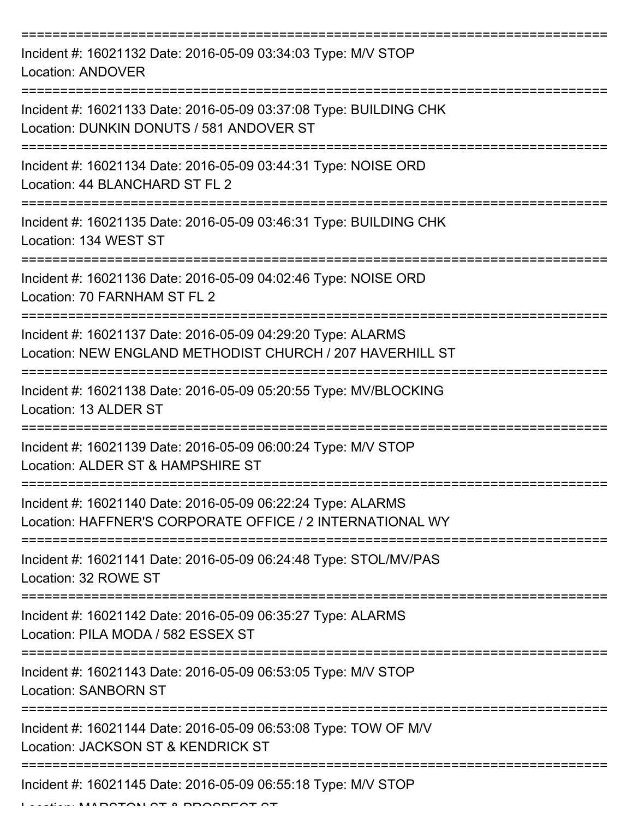| Incident #: 16021132 Date: 2016-05-09 03:34:03 Type: M/V STOP<br><b>Location: ANDOVER</b>                                |
|--------------------------------------------------------------------------------------------------------------------------|
| Incident #: 16021133 Date: 2016-05-09 03:37:08 Type: BUILDING CHK<br>Location: DUNKIN DONUTS / 581 ANDOVER ST            |
| Incident #: 16021134 Date: 2016-05-09 03:44:31 Type: NOISE ORD<br>Location: 44 BLANCHARD ST FL 2                         |
| Incident #: 16021135 Date: 2016-05-09 03:46:31 Type: BUILDING CHK<br>Location: 134 WEST ST                               |
| Incident #: 16021136 Date: 2016-05-09 04:02:46 Type: NOISE ORD<br>Location: 70 FARNHAM ST FL 2                           |
| Incident #: 16021137 Date: 2016-05-09 04:29:20 Type: ALARMS<br>Location: NEW ENGLAND METHODIST CHURCH / 207 HAVERHILL ST |
| Incident #: 16021138 Date: 2016-05-09 05:20:55 Type: MV/BLOCKING<br>Location: 13 ALDER ST                                |
| Incident #: 16021139 Date: 2016-05-09 06:00:24 Type: M/V STOP<br>Location: ALDER ST & HAMPSHIRE ST                       |
| Incident #: 16021140 Date: 2016-05-09 06:22:24 Type: ALARMS<br>Location: HAFFNER'S CORPORATE OFFICE / 2 INTERNATIONAL WY |
| Incident #: 16021141 Date: 2016-05-09 06:24:48 Type: STOL/MV/PAS<br>Location: 32 ROWE ST                                 |
| Incident #: 16021142 Date: 2016-05-09 06:35:27 Type: ALARMS<br>Location: PILA MODA / 582 ESSEX ST                        |
| Incident #: 16021143 Date: 2016-05-09 06:53:05 Type: M/V STOP<br><b>Location: SANBORN ST</b>                             |
| Incident #: 16021144 Date: 2016-05-09 06:53:08 Type: TOW OF M/V<br>Location: JACKSON ST & KENDRICK ST                    |
| Incident #: 16021145 Date: 2016-05-09 06:55:18 Type: M/V STOP                                                            |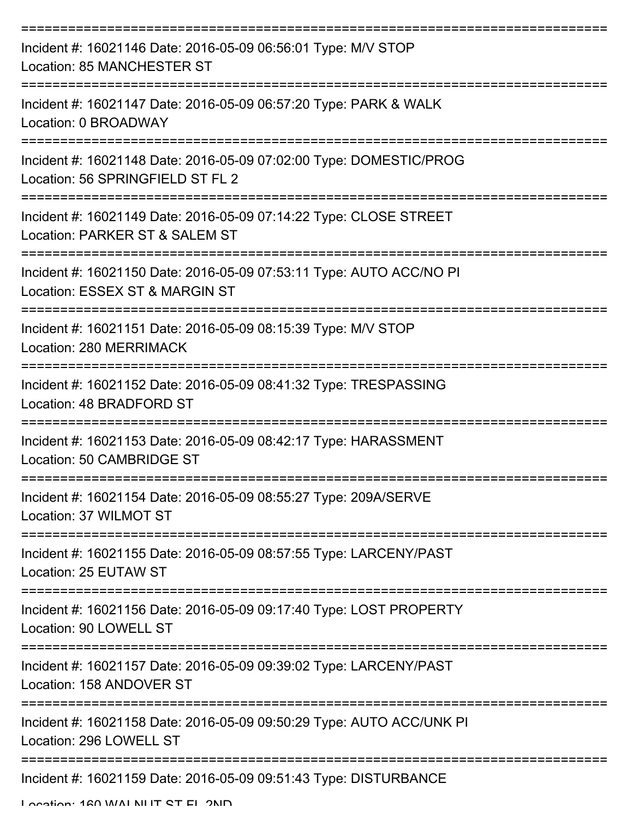| Incident #: 16021146 Date: 2016-05-09 06:56:01 Type: M/V STOP<br><b>Location: 85 MANCHESTER ST</b>     |
|--------------------------------------------------------------------------------------------------------|
| Incident #: 16021147 Date: 2016-05-09 06:57:20 Type: PARK & WALK<br>Location: 0 BROADWAY               |
| Incident #: 16021148 Date: 2016-05-09 07:02:00 Type: DOMESTIC/PROG<br>Location: 56 SPRINGFIELD ST FL 2 |
| Incident #: 16021149 Date: 2016-05-09 07:14:22 Type: CLOSE STREET<br>Location: PARKER ST & SALEM ST    |
| Incident #: 16021150 Date: 2016-05-09 07:53:11 Type: AUTO ACC/NO PI<br>Location: ESSEX ST & MARGIN ST  |
| Incident #: 16021151 Date: 2016-05-09 08:15:39 Type: M/V STOP<br>Location: 280 MERRIMACK               |
| Incident #: 16021152 Date: 2016-05-09 08:41:32 Type: TRESPASSING<br>Location: 48 BRADFORD ST           |
| Incident #: 16021153 Date: 2016-05-09 08:42:17 Type: HARASSMENT<br>Location: 50 CAMBRIDGE ST           |
| Incident #: 16021154 Date: 2016-05-09 08:55:27 Type: 209A/SERVE<br>Location: 37 WILMOT ST              |
| Incident #: 16021155 Date: 2016-05-09 08:57:55 Type: LARCENY/PAST<br>Location: 25 EUTAW ST             |
| Incident #: 16021156 Date: 2016-05-09 09:17:40 Type: LOST PROPERTY<br>Location: 90 LOWELL ST           |
| Incident #: 16021157 Date: 2016-05-09 09:39:02 Type: LARCENY/PAST<br>Location: 158 ANDOVER ST          |
| Incident #: 16021158 Date: 2016-05-09 09:50:29 Type: AUTO ACC/UNK PI<br>Location: 296 LOWELL ST        |
| Incident #: 16021159 Date: 2016-05-09 09:51:43 Type: DISTURBANCE                                       |

Location: 160 WALNUT CT EL 2ND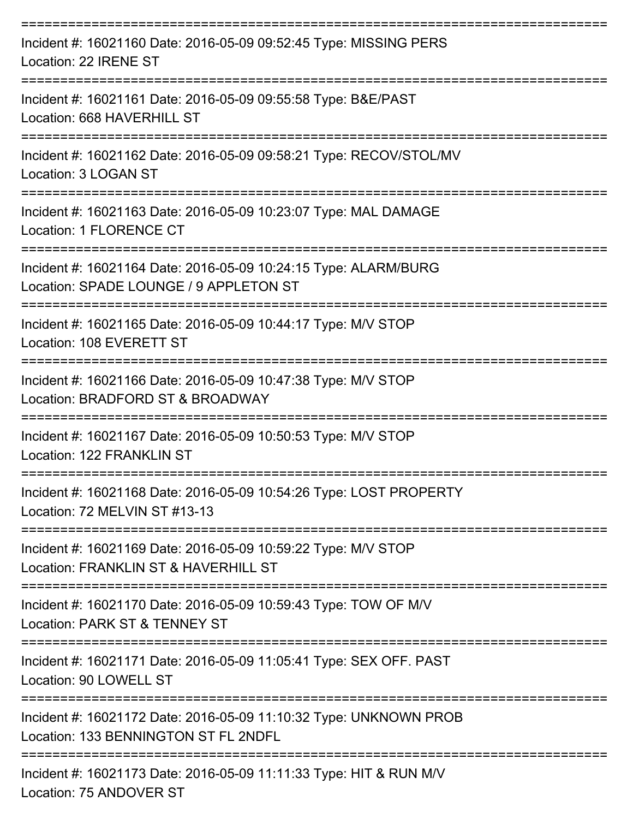| Incident #: 16021160 Date: 2016-05-09 09:52:45 Type: MISSING PERS<br>Location: 22 IRENE ST                     |
|----------------------------------------------------------------------------------------------------------------|
| Incident #: 16021161 Date: 2016-05-09 09:55:58 Type: B&E/PAST<br>Location: 668 HAVERHILL ST                    |
| Incident #: 16021162 Date: 2016-05-09 09:58:21 Type: RECOV/STOL/MV<br>Location: 3 LOGAN ST                     |
| Incident #: 16021163 Date: 2016-05-09 10:23:07 Type: MAL DAMAGE<br>Location: 1 FLORENCE CT<br>================ |
| Incident #: 16021164 Date: 2016-05-09 10:24:15 Type: ALARM/BURG<br>Location: SPADE LOUNGE / 9 APPLETON ST      |
| Incident #: 16021165 Date: 2016-05-09 10:44:17 Type: M/V STOP<br>Location: 108 EVERETT ST                      |
| Incident #: 16021166 Date: 2016-05-09 10:47:38 Type: M/V STOP<br>Location: BRADFORD ST & BROADWAY              |
| Incident #: 16021167 Date: 2016-05-09 10:50:53 Type: M/V STOP<br>Location: 122 FRANKLIN ST                     |
| Incident #: 16021168 Date: 2016-05-09 10:54:26 Type: LOST PROPERTY<br>Location: 72 MELVIN ST #13-13            |
| Incident #: 16021169 Date: 2016-05-09 10:59:22 Type: M/V STOP<br>Location: FRANKLIN ST & HAVERHILL ST          |
| Incident #: 16021170 Date: 2016-05-09 10:59:43 Type: TOW OF M/V<br>Location: PARK ST & TENNEY ST               |
| Incident #: 16021171 Date: 2016-05-09 11:05:41 Type: SEX OFF. PAST<br>Location: 90 LOWELL ST                   |
| Incident #: 16021172 Date: 2016-05-09 11:10:32 Type: UNKNOWN PROB<br>Location: 133 BENNINGTON ST FL 2NDFL      |
| Incident #: 16021173 Date: 2016-05-09 11:11:33 Type: HIT & RUN M/V                                             |

Location: 75 ANDOVER ST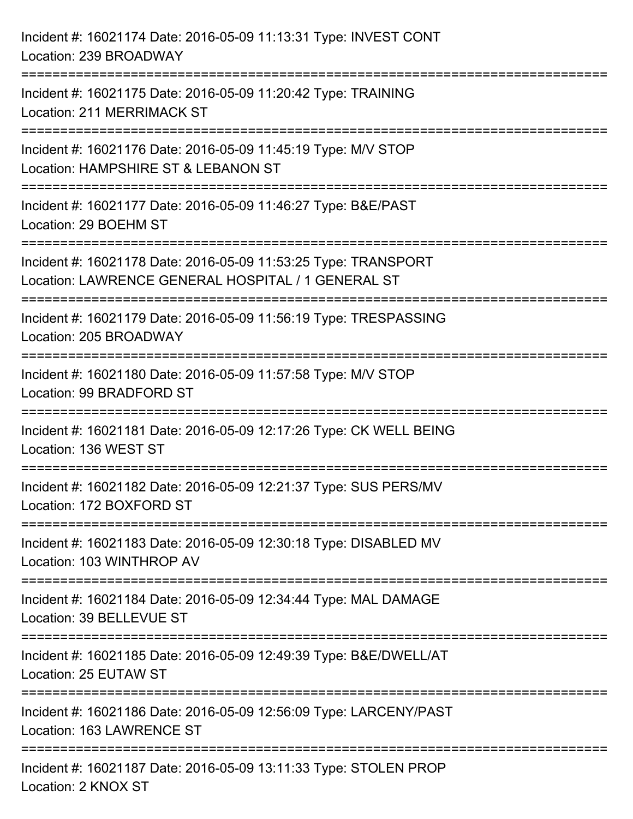| Incident #: 16021174 Date: 2016-05-09 11:13:31 Type: INVEST CONT<br>Location: 239 BROADWAY                                      |
|---------------------------------------------------------------------------------------------------------------------------------|
| ================================<br>Incident #: 16021175 Date: 2016-05-09 11:20:42 Type: TRAINING<br>Location: 211 MERRIMACK ST |
| Incident #: 16021176 Date: 2016-05-09 11:45:19 Type: M/V STOP<br>Location: HAMPSHIRE ST & LEBANON ST                            |
| Incident #: 16021177 Date: 2016-05-09 11:46:27 Type: B&E/PAST<br>Location: 29 BOEHM ST                                          |
| Incident #: 16021178 Date: 2016-05-09 11:53:25 Type: TRANSPORT<br>Location: LAWRENCE GENERAL HOSPITAL / 1 GENERAL ST            |
| Incident #: 16021179 Date: 2016-05-09 11:56:19 Type: TRESPASSING<br>Location: 205 BROADWAY                                      |
| Incident #: 16021180 Date: 2016-05-09 11:57:58 Type: M/V STOP<br>Location: 99 BRADFORD ST                                       |
| Incident #: 16021181 Date: 2016-05-09 12:17:26 Type: CK WELL BEING<br>Location: 136 WEST ST                                     |
| Incident #: 16021182 Date: 2016-05-09 12:21:37 Type: SUS PERS/MV<br>Location: 172 BOXFORD ST                                    |
| Incident #: 16021183 Date: 2016-05-09 12:30:18 Type: DISABLED MV<br>Location: 103 WINTHROP AV                                   |
| Incident #: 16021184 Date: 2016-05-09 12:34:44 Type: MAL DAMAGE<br>Location: 39 BELLEVUE ST                                     |
| Incident #: 16021185 Date: 2016-05-09 12:49:39 Type: B&E/DWELL/AT<br>Location: 25 EUTAW ST                                      |
| Incident #: 16021186 Date: 2016-05-09 12:56:09 Type: LARCENY/PAST<br>Location: 163 LAWRENCE ST                                  |
| Incident #: 16021187 Date: 2016-05-09 13:11:33 Type: STOLEN PROP<br>Location: 2 KNOX ST                                         |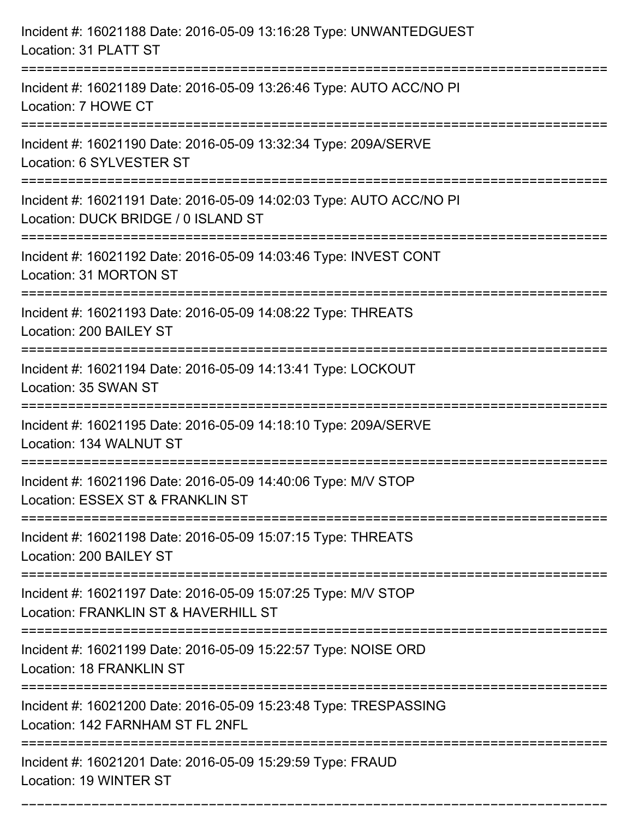| Incident #: 16021188 Date: 2016-05-09 13:16:28 Type: UNWANTEDGUEST<br>Location: 31 PLATT ST                |
|------------------------------------------------------------------------------------------------------------|
| Incident #: 16021189 Date: 2016-05-09 13:26:46 Type: AUTO ACC/NO PI<br>Location: 7 HOWE CT                 |
| Incident #: 16021190 Date: 2016-05-09 13:32:34 Type: 209A/SERVE<br>Location: 6 SYLVESTER ST                |
| Incident #: 16021191 Date: 2016-05-09 14:02:03 Type: AUTO ACC/NO PI<br>Location: DUCK BRIDGE / 0 ISLAND ST |
| Incident #: 16021192 Date: 2016-05-09 14:03:46 Type: INVEST CONT<br>Location: 31 MORTON ST                 |
| Incident #: 16021193 Date: 2016-05-09 14:08:22 Type: THREATS<br>Location: 200 BAILEY ST                    |
| Incident #: 16021194 Date: 2016-05-09 14:13:41 Type: LOCKOUT<br>Location: 35 SWAN ST                       |
| Incident #: 16021195 Date: 2016-05-09 14:18:10 Type: 209A/SERVE<br>Location: 134 WALNUT ST                 |
| Incident #: 16021196 Date: 2016-05-09 14:40:06 Type: M/V STOP<br>Location: ESSEX ST & FRANKLIN ST          |
| Incident #: 16021198 Date: 2016-05-09 15:07:15 Type: THREATS<br>Location: 200 BAILEY ST                    |
| Incident #: 16021197 Date: 2016-05-09 15:07:25 Type: M/V STOP<br>Location: FRANKLIN ST & HAVERHILL ST      |
| Incident #: 16021199 Date: 2016-05-09 15:22:57 Type: NOISE ORD<br><b>Location: 18 FRANKLIN ST</b>          |
| Incident #: 16021200 Date: 2016-05-09 15:23:48 Type: TRESPASSING<br>Location: 142 FARNHAM ST FL 2NFL       |
| Incident #: 16021201 Date: 2016-05-09 15:29:59 Type: FRAUD<br>Location: 19 WINTER ST                       |

===========================================================================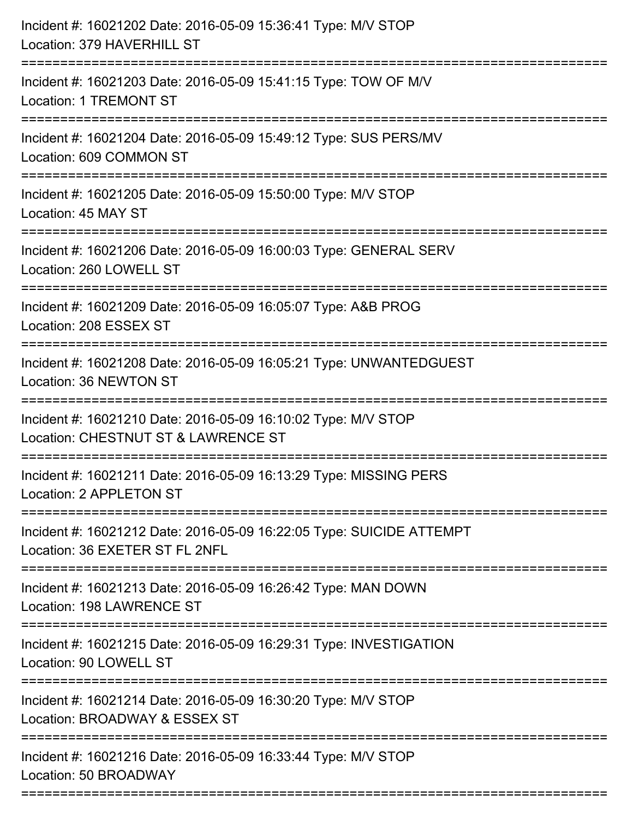| Incident #: 16021202 Date: 2016-05-09 15:36:41 Type: M/V STOP<br>Location: 379 HAVERHILL ST                                 |
|-----------------------------------------------------------------------------------------------------------------------------|
| =======================<br>Incident #: 16021203 Date: 2016-05-09 15:41:15 Type: TOW OF M/V<br><b>Location: 1 TREMONT ST</b> |
| Incident #: 16021204 Date: 2016-05-09 15:49:12 Type: SUS PERS/MV<br>Location: 609 COMMON ST                                 |
| Incident #: 16021205 Date: 2016-05-09 15:50:00 Type: M/V STOP<br>Location: 45 MAY ST                                        |
| Incident #: 16021206 Date: 2016-05-09 16:00:03 Type: GENERAL SERV<br>Location: 260 LOWELL ST                                |
| Incident #: 16021209 Date: 2016-05-09 16:05:07 Type: A&B PROG<br>Location: 208 ESSEX ST                                     |
| Incident #: 16021208 Date: 2016-05-09 16:05:21 Type: UNWANTEDGUEST<br>Location: 36 NEWTON ST                                |
| Incident #: 16021210 Date: 2016-05-09 16:10:02 Type: M/V STOP<br>Location: CHESTNUT ST & LAWRENCE ST                        |
| Incident #: 16021211 Date: 2016-05-09 16:13:29 Type: MISSING PERS<br>Location: 2 APPLETON ST                                |
| Incident #: 16021212 Date: 2016-05-09 16:22:05 Type: SUICIDE ATTEMPT<br>Location: 36 EXETER ST FL 2NFL                      |
| Incident #: 16021213 Date: 2016-05-09 16:26:42 Type: MAN DOWN<br>Location: 198 LAWRENCE ST                                  |
| Incident #: 16021215 Date: 2016-05-09 16:29:31 Type: INVESTIGATION<br>Location: 90 LOWELL ST                                |
| Incident #: 16021214 Date: 2016-05-09 16:30:20 Type: M/V STOP<br>Location: BROADWAY & ESSEX ST                              |
| Incident #: 16021216 Date: 2016-05-09 16:33:44 Type: M/V STOP<br>Location: 50 BROADWAY                                      |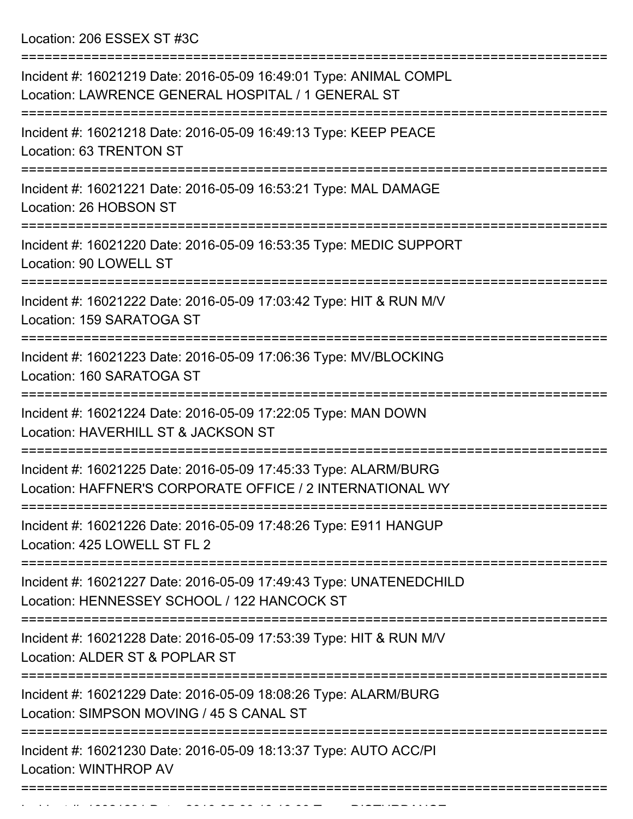Location: 206 ESSEX ST #3C

| Incident #: 16021219 Date: 2016-05-09 16:49:01 Type: ANIMAL COMPL<br>Location: LAWRENCE GENERAL HOSPITAL / 1 GENERAL ST            |
|------------------------------------------------------------------------------------------------------------------------------------|
| Incident #: 16021218 Date: 2016-05-09 16:49:13 Type: KEEP PEACE<br>Location: 63 TRENTON ST                                         |
| Incident #: 16021221 Date: 2016-05-09 16:53:21 Type: MAL DAMAGE<br>Location: 26 HOBSON ST                                          |
| Incident #: 16021220 Date: 2016-05-09 16:53:35 Type: MEDIC SUPPORT<br>Location: 90 LOWELL ST                                       |
| Incident #: 16021222 Date: 2016-05-09 17:03:42 Type: HIT & RUN M/V<br>Location: 159 SARATOGA ST                                    |
| Incident #: 16021223 Date: 2016-05-09 17:06:36 Type: MV/BLOCKING<br>Location: 160 SARATOGA ST                                      |
| Incident #: 16021224 Date: 2016-05-09 17:22:05 Type: MAN DOWN<br>Location: HAVERHILL ST & JACKSON ST                               |
| Incident #: 16021225 Date: 2016-05-09 17:45:33 Type: ALARM/BURG<br>Location: HAFFNER'S CORPORATE OFFICE / 2 INTERNATIONAL WY       |
| Incident #: 16021226 Date: 2016-05-09 17:48:26 Type: E911 HANGUP<br>Location: 425 LOWELL ST FL 2                                   |
| =============<br>Incident #: 16021227 Date: 2016-05-09 17:49:43 Type: UNATENEDCHILD<br>Location: HENNESSEY SCHOOL / 122 HANCOCK ST |
| Incident #: 16021228 Date: 2016-05-09 17:53:39 Type: HIT & RUN M/V<br>Location: ALDER ST & POPLAR ST                               |
| Incident #: 16021229 Date: 2016-05-09 18:08:26 Type: ALARM/BURG<br>Location: SIMPSON MOVING / 45 S CANAL ST                        |
| Incident #: 16021230 Date: 2016-05-09 18:13:37 Type: AUTO ACC/PI<br><b>Location: WINTHROP AV</b>                                   |
|                                                                                                                                    |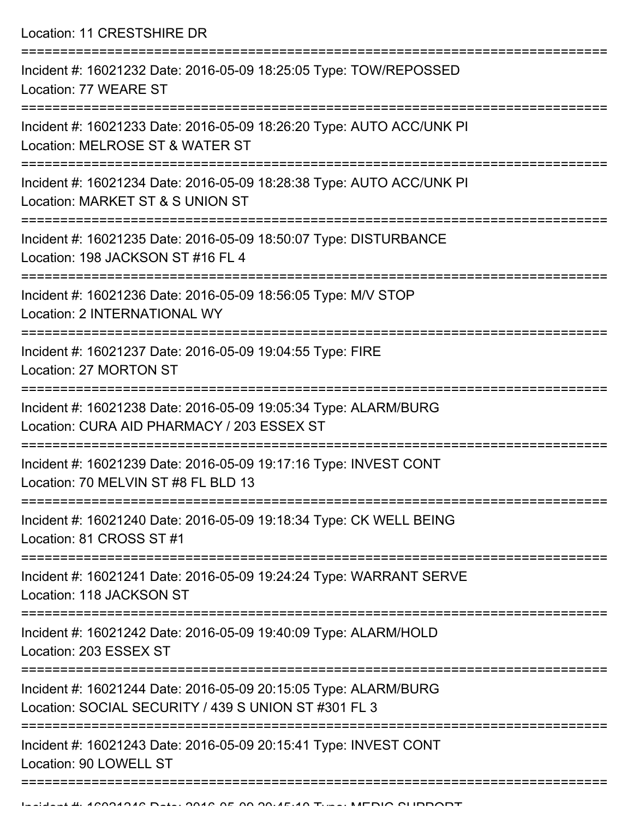Location: 11 CRESTSHIRE DR

| Incident #: 16021232 Date: 2016-05-09 18:25:05 Type: TOW/REPOSSED<br>Location: 77 WEARE ST                              |
|-------------------------------------------------------------------------------------------------------------------------|
| Incident #: 16021233 Date: 2016-05-09 18:26:20 Type: AUTO ACC/UNK PI<br>Location: MELROSE ST & WATER ST                 |
| Incident #: 16021234 Date: 2016-05-09 18:28:38 Type: AUTO ACC/UNK PI<br>Location: MARKET ST & S UNION ST                |
| Incident #: 16021235 Date: 2016-05-09 18:50:07 Type: DISTURBANCE<br>Location: 198 JACKSON ST #16 FL 4                   |
| Incident #: 16021236 Date: 2016-05-09 18:56:05 Type: M/V STOP<br>Location: 2 INTERNATIONAL WY                           |
| Incident #: 16021237 Date: 2016-05-09 19:04:55 Type: FIRE<br>Location: 27 MORTON ST                                     |
| Incident #: 16021238 Date: 2016-05-09 19:05:34 Type: ALARM/BURG<br>Location: CURA AID PHARMACY / 203 ESSEX ST           |
| Incident #: 16021239 Date: 2016-05-09 19:17:16 Type: INVEST CONT<br>Location: 70 MELVIN ST #8 FL BLD 13                 |
| Incident #: 16021240 Date: 2016-05-09 19:18:34 Type: CK WELL BEING<br>Location: 81 CROSS ST #1                          |
| Incident #: 16021241 Date: 2016-05-09 19:24:24 Type: WARRANT SERVE<br>Location: 118 JACKSON ST                          |
| Incident #: 16021242 Date: 2016-05-09 19:40:09 Type: ALARM/HOLD<br>Location: 203 ESSEX ST                               |
| Incident #: 16021244 Date: 2016-05-09 20:15:05 Type: ALARM/BURG<br>Location: SOCIAL SECURITY / 439 S UNION ST #301 FL 3 |
| Incident #: 16021243 Date: 2016-05-09 20:15:41 Type: INVEST CONT<br>Location: 90 LOWELL ST                              |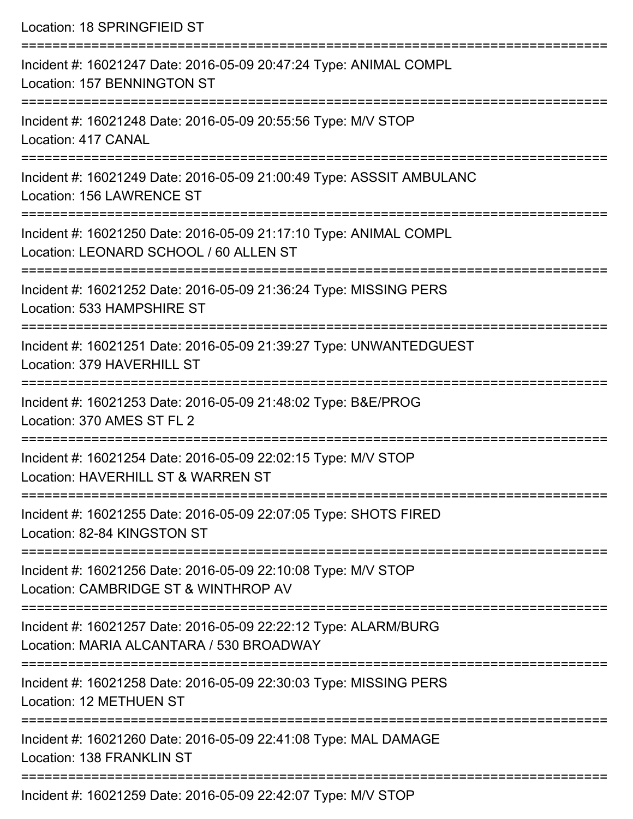| Location: 18 SPRINGFIEID ST                                                                                                                         |
|-----------------------------------------------------------------------------------------------------------------------------------------------------|
| Incident #: 16021247 Date: 2016-05-09 20:47:24 Type: ANIMAL COMPL<br>Location: 157 BENNINGTON ST<br>:==================                             |
| Incident #: 16021248 Date: 2016-05-09 20:55:56 Type: M/V STOP<br>Location: 417 CANAL                                                                |
| Incident #: 16021249 Date: 2016-05-09 21:00:49 Type: ASSSIT AMBULANC<br>Location: 156 LAWRENCE ST                                                   |
| ====================================<br>Incident #: 16021250 Date: 2016-05-09 21:17:10 Type: ANIMAL COMPL<br>Location: LEONARD SCHOOL / 60 ALLEN ST |
| Incident #: 16021252 Date: 2016-05-09 21:36:24 Type: MISSING PERS<br>Location: 533 HAMPSHIRE ST                                                     |
| Incident #: 16021251 Date: 2016-05-09 21:39:27 Type: UNWANTEDGUEST<br>Location: 379 HAVERHILL ST                                                    |
| Incident #: 16021253 Date: 2016-05-09 21:48:02 Type: B&E/PROG<br>Location: 370 AMES ST FL 2                                                         |
| Incident #: 16021254 Date: 2016-05-09 22:02:15 Type: M/V STOP<br>Location: HAVERHILL ST & WARREN ST                                                 |
| Incident #: 16021255 Date: 2016-05-09 22:07:05 Type: SHOTS FIRED<br>Location: 82-84 KINGSTON ST                                                     |
| Incident #: 16021256 Date: 2016-05-09 22:10:08 Type: M/V STOP<br>Location: CAMBRIDGE ST & WINTHROP AV                                               |
| Incident #: 16021257 Date: 2016-05-09 22:22:12 Type: ALARM/BURG<br>Location: MARIA ALCANTARA / 530 BROADWAY                                         |
| Incident #: 16021258 Date: 2016-05-09 22:30:03 Type: MISSING PERS<br>Location: 12 METHUEN ST                                                        |
| Incident #: 16021260 Date: 2016-05-09 22:41:08 Type: MAL DAMAGE<br>Location: 138 FRANKLIN ST                                                        |
| Incident #: 16021259 Date: 2016-05-09 22:42:07 Type: M/V STOP                                                                                       |